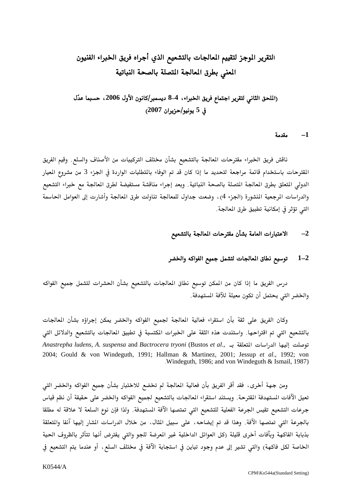# التقرير الموجز لتقييم المعالجات بالتشعيع الذي أجراه فريق الخبراء الفنيون المعنى بطرق المعالجة المتصلة بالصحة النباتية

## (الملحق الثاني لتقرير اجتماع فريق الخبراء، 4-8 ديسمبر/كانون الأول 2006، حسبما عدّل في 5 يونيو/حزيرا*ن 2007)*

#### مقدمة  $-1$

ناقش فريق الخبراء مقترحات المالجة بالتشعيع بشأن مختلف التركيبات من الأصناف والسلع. وقيم الفريق المقترحات باستخدام قائمة مراجعة لتحديد ما إذا كان قد تم الوفاء بالتطلبات الواردة في الجزء 3 من مشروع الميار الدولي المتعلق بطرق المعالجة المتصلة بالصحة النباتية. وبعد إجراء مناقشة مستفيضة لطرق المعالجة مع خبراء التشعيع والدراسات المرجعية المشورة (الجزء 4) ، وضعت جداول للمعالجة تناولت طرق المالجة وأشارت إلى العوامل الحاسمة التي تؤثر في إمكانية تطبيق طرق المعالجة.

#### الاعتبارات العامة بشأن مقترحات المعالجة بالتشعيع  $-2$

#### توسيع نطاق المالجات لتشمل جميع الفواكه والخضر  $1 - 2$

درس الفريق ما إذا كان من المكن توسيع نطاق المعالجات بالتشعيع بشأن الحشرات لتشمل جميع الفواكه والخضر التي يحتمل أن تكون معيلة للآفة المستهدفة.

وكان الفريق على ثقة بأن استقراء فعالية المعالجة لجميع الفواكه والخضر يمكن إجراؤه بشأن المعالجات بالتشعيع التي تم اقتراحها. واستندت هذه الثقة على الخبرات المكتسبة في تطبيق المالجات بالتشعيع والدلائل التي Anastrepha ludens, A. suspensa and Bactrocera tryoni (Bustos et al., حوصلت إليها الدراسات المتعلقة ب 2004; Gould & von Windeguth, 1991; Hallman & Martinez, 2001; Jessup et al., 1992; von Windeguth, 1986; and von Windeguth & Ismail, 1987).

ومن جهة أخرى، فقد أقر الفريق بأن فعالية المعالجة لم تخضع للاختبار بشأن جميع الفواكه والخضر التى تعيل الآفات المستهدفة القترحة. ويستند استقراء المالجات بالتشعيع لجميع الفواكه والخضر على حقيقة أن نظم قياس جرعات التشعيع تقيس الجرعة الفعلية للتشعيع التي تمتصها الآفة المستهدفة. ولذا فإن نوع السلعة لا علاقة له مطلقا بالجرعة التي تمتصها الآفة. وهذا قد تم إيضاحه، على سبيل المثال، من خلال الدراسات الشار إليها آنفا والتعلقة بذبابة الفاكهة وبآفات أخرى قليلة (كل العوائل الداخلية غير المعرضة للجو والتي يفترض أنها تتأثر بالظروف الحية الخاصة لكل فاكهة) والتي تشير إلى عدم وجود تباين في استجابة الآفة في مختلف السلع، أو عندما يتم التشعيع في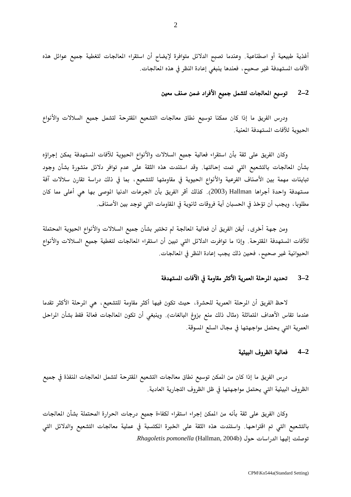أغذية طبيعية أو اصطناعية. وعندما تصبح الدلائل متوافرة لإيضاح أن استقراء المعالجات لتغطية جميع عوائل هذه الآفات المستهدفة غير صحيح، فعندها ينبغي إعادة النظر في هذه المالجات.

#### توسيع المعالجات لتشمل جميع الأفراد ضمن صنف معين  $2 - 2$

ودرس الفريق ما إذا كان ممكنا توسيع نطاق معالجات التشعيع المقترحة لتشمل جميع السلالات والأنواع الحيوية للآفات المستهدفة المعنية.

وكان الفريق على ثقة بأن استقراء فعالية جميع السلالات والأنواع الحيوية للآفات المستهدفة يمكن إجراؤه بشأن المعالجات بالتشعيع التي تمت إحالتها. وقد استندت هذه الثقة على عدم توافر دلائل منشورة بشأن وجود تباينات مهمة بين الأصناف الفرعية والأنواع الحيوية في مقاومتها للتشعيع، بما في ذلك دراسة تقارن سلالات آفة مستهدفة واحدة أجراها Hallman (2003). كذلك أقر الفريق بأن الجرعات الدنيا الموصى بها هى أعلى مما كان مطلوبا ، ويجب أن تؤخذ في الحسبان أية فروقات ثانوية في المقاومات التي توجد بين الأصناف.

ومن جهة أخرى، أيقن الفريق أن فعالية المالجة لم تختبر بشأن جميع السلالات والأنواع الحيوية المحتملة للآفات المستهدفة المقترحة. وإذا ما توافرت الدلائل التي تبين أن استقراء المالجات لتغطية جميع السلالات والأنواع الحيوانية غير صحيح، فحين ذلك يجب إعادة النظر في المالجات.

#### تحديد الرحلة العمرية الأكثر مقاومة في الآفات المستهدفة  $3 - 2$

لاحظ الفريق أن المرحلة العمرية للحشرة، حيث تكون فيها أكثر مقاومة للتشعيع، هي المرحلة الأكثر تقدما عندما تقاس الأهداف المتماثلة (مثال ذلك منع بزوغ البالغات). وينبغي أن تكون المعالجات فعالة فقط بشأن المراحل العمرية التي يحتمل مواجهتها في مجال السلع المسوقة.

#### $4 - 2$ فعالية الظروف البيئية

درس الفريق ما إذا كان من المكن توسيع نطاق معالجات التشعيع المقترحة لتشمل المعالجات المنفذة في جميع الظروف البيئية التي يحتمل مواجهتها في ظل الظروف التجارية العادية.

وكان الفريق على ثقة بأنه من المكن إجراء استقراء لكفاءة جميع درجات الحرارة المحتملة بشأن المالجات بالتشعيع التي تم اقتراحها. واستندت هذه الثقة على الخبرة المكتسبة في عملية معالجات التشعيع والدلائل التي توصلت إليها الدراسات حول (Rhagoletis pomonella (Hallman, 2004b.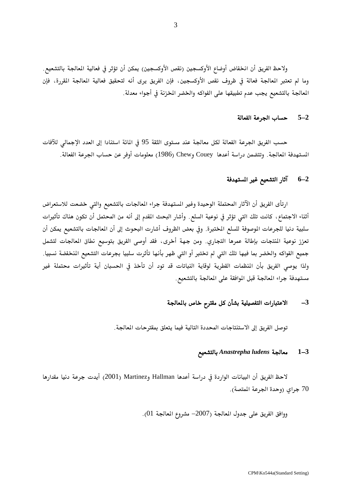ولاحظ الفريق أن انخفاض أوضاع الأوكسجين (نقص الأوكسجين) يمكن أن تؤثر في فعالية المعالجة بالتشعيع. وما لم تعتبر المعالجة فعالة في ظروف نقص الأوكسجين، فإن الفريق يرى أنه لتحقيق فعالية المعالجة المقررة، فإن المعالجة بالتشعيع يجب عدم تطبيقها على الفواكه والخضر المخزنة في أجواء معدلة.

### 5-2 حساب الجرعة الفعالة

حسب الفريق الجرعة الفعالة لكل معالجة عند مستوى الثقة 95 في المائة استنادا إلى العدد الإجمالي للآفات المستهدفة المالجة. وتتضمن دراسة أعدها Couey وChew (1986) معلومات أوفر عن حساب الجرعة الفعالة.

#### آثار التشعيع غير المسهدفة  $6 - 2$

ارتأى الفريق أن الآثار المحتملة الوحيدة وغير المستهدفة جراء المالجات بالتشعيع والتي خضعت للاستعراض أثناء الاجتماع، كانت تلك التي تؤثر في نوعية السلع. وأشار البحث المقدم إلى أنه من المحتمل أن تكون هناك تأثيرات سلبية دنيا للجرعات الوصوفة للسلع المختبرة. وفي بعض الظروف أشارت البحوث إلى أن المالجات بالتشعيع يمكن أن تعزز نوعية المنتجات بإطالة عمرها التجاري. ومن جهة أخرى، فقد أوصى الفريق بتوسيع نطاق المعالجات لتشمل جميع الفواكه والخضر بما فيها تلك التى لم تختبر أو التى ظهر بأنها تأثرت سلبيا بجرعات التشعيع المخفضة نسبيا. ولذا يوصى الفريق بأن المنظمات القطرية لوقاية النباتات قد تود أن تأخذ في الحسبان أية تأثيرات محتملة غير مستهدفة جراء المعالجة قبل الموافقة على المعالجة بالتشعيع.

#### الاعتبارات التفصيلية بشأن كل مقترح خاص بالمعالجة  $-3$

توصل الفريق إلى الاستنتاجات المحددة التالية فيما يتعلق بمقترحات المعالجة.

#### بالتشعيع Anastrepha ludens بالتشعيع  $1 - 3$

لاحظ الفريق أن البيانات الواردة في دراسة أعدها Hallman وZ001 (2001) أيدت جرعة دنيا مقدارها 70 جراي (وحدة الجرعة المتصة).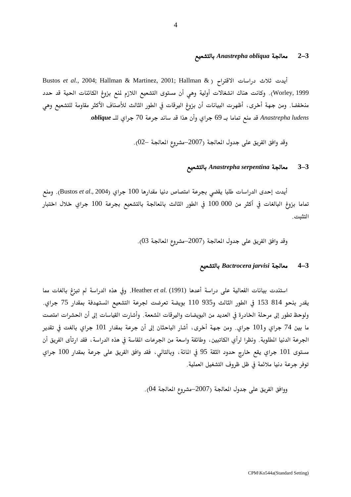### بالتشعيع Anastrepha obliqua بالتشعيع Anastrepha obliqua  $2\text{--}3$

Bustos et al., 2004; Hallman & Martinez, 2001; Hallman & ) ايدت ثلاث دراسات الاقتراح ( Worley, 1999). وكانت هناك انشغالات أولية وهي أن مستوى التشعيع اللازم لمنع بزوغ الكائنات الحية قد حدد منخفضا. ومن جهة أخرى، أظهرت البيانات أن بزوغ اليرقات في الطور الثالث للأصناف الأكثر مقاومة للتشعيع وهي Anastrepha ludens قد منع تماما بـ 69 جراي وأن هذا قد ساند جرعة 70 جراي للـ oblique.

وقد وافق الفريق على جدول المعالجة (2007–مشروع المعالجة –02).

#### معالجة Anastrepha serpentina بالتشعيع  $3 - 3$

أيدت إحدى الدراسات طلبا يقضي بجرعة امتصاص دنيا مقدارها 100 جراي (Bustos *et al.*, 2004). ومنع تماما بزوغ البالغات في أكثر من 000 100 في الطور الثالث بالمالجة بالتشعيع بجرعة 100 جراي خلال اختبار التثبت.

وقد وافق الفريق على جدول المعالجة (2007–مشروع المعالجة 03).

### 4–3 معالجة Bactrocera jarvisi بالتشعيع

استندت بيانات الفعالية على دراسة أعدها Heather et al. (1991). وفي هذه الدراسة لم تبزغ بالغات مما يقدر بنحو 814 153 في الطور الثالث و935 110 بويضة تعرضت لجرعة التشعيع المستهدفة بمقدار 75 جراي. ولوحظ تطور إلى مرحلة الخادرة في العديد من البويضات واليرقات الشععة. وأشارت القياسات إلى أن الحشرات امتصت ما بين 74 جراي و101 جراي. ومن جهة أخرى، أشار الباحثان إلى أن جرعة بمقدار 101 جراي بالغت في تقدير الجرعة الدنيا المطلوبة. ونظرا لرأي الكاتبين، وطائفة واسعة من الجرعات المقاسة في هذه الدراسة، فقد ارتأى الفريق أن مستوى 101 جراي يقع خارج حدود الثقة 95 في المائة، وبالتالي، فقد وافق الفريق على جرعة بمقدار 100 جراي توفر جرعة دنيا ملائمة في ظل ظروف التشغيل العملية.

ووافق الفريق على جدول المالجة (2007–مشروع المالجة 04).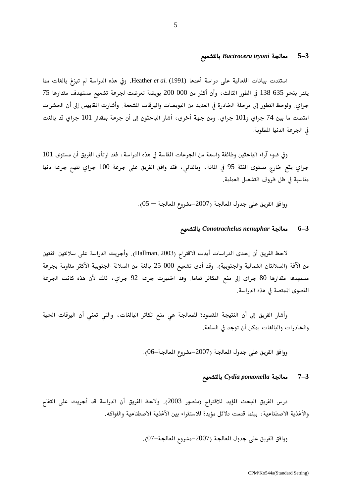### بالتشعيع Bactrocera tryoni بالتشعيع Bactrocera  $5-3$

استندت بيانات الفعالية على دراسة أعدها Heather et al. (1991). وفي هذه الدراسة لم تبزغ بالغات مما يقدر بنحو 635 138 في الطور الثالث، وأن أكثر من 000 200 بويضة تعرضت لجرعة تشعيع مستهدف مقدارها 75 جراي. ولوحظ التطور إلى مرحلة الخادرة في العديد من البويضات واليرقات الشععة. وأشارت المقاييس إلى أن الحشرات امتصت ما بين 74 جراي و101 جراي. ومن جهة أخرى، أشار الباحثون إلى أن جرعة بمقدار 101 جراي قد بالغت في الجرعة الدنيا المطلوبة.

وفي ضوء آراء الباحثين وطائفة واسعة من الجرعات المقاسة في هذه الدراسة ، فقد ارتأى الفريق أن مستوى 101 جراي يقع خارج مستوى الثقة 95 في المائة، وبالتالي، فقد وافق الفريق على جرعة 100 جراي تتيح جرعة دنيا مناسبة في ظل ظروف التشغيل العملية.

ووافق الفريق على جدول العالجة (2007–مشروع العالجة $-5-0$ ).

#### بالتشعيع Conotrachelus nenuphar بالتشعيع  $6 - 3$

لاحظ الفريق أن إحدى الدراسات أيدت الاقترام (Hallman, 2003). وأجريت الدراسة على سلالتين اثنتين من الآفة (السلالتان الشمالية والجنوبية). وقد أدى تشعيع 000 25 بالغة من السلالة الجنوبية الأكثر مقاومة بجرعة مستهدفة مقدارها 80 جراي إلى منع التكاثر تماما. وقد اختيرت جرعة 92 جراي، ذلك لأن هذه كانت الجرعة القصوى المتصة في هذه الدراسة.

وأشار الفريق إلى أن النتيجة القصودة للمعالجة هي منع تكاثر البالغات، والتي تعني أن اليرقات الحية والخادرات والبالغات يمكن أن توجد في السلعة.

ووافق الفريق على جدول المعالجة (2007–مشروع المعالجة–06).

#### بالتشعيع Cydia pomonella بالتشعيع  $7 - 3$

درس الفريق البحث المؤيد للاقتراح (منصور 2003). ولاحظ الفريق أن الدراسة قد أجريت على التفاح والأغذية الاصطناعية ، بينما قدمت دلائل مؤيدة للاستقراء بين الأغذية الاصطناعية والفواكه.

ووافق الفريق على جدول المعالجة (2007–مشروع المعالجة $-0$ ).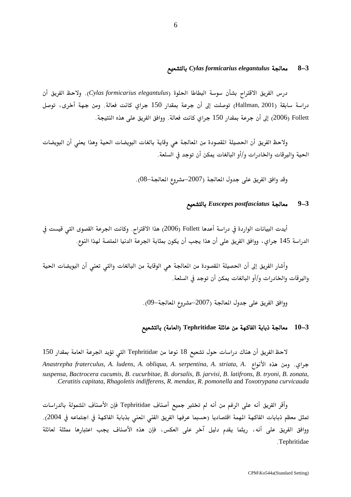#### بالتشعيع Cylas formicarius elegantulus بالتشعيع  $8 - 3$

درس الفريق الاقتراح بشأن سوسة البطاطا الحلوة (Cylas formicarius elegantulus). ولاحظ الفريق أن دراسة سابقة (Hallman, 2001) توصلت إلى أن جرعة بمقدار 150 جراي كانت فعالة. ومن جهة أخرى، توصل 2006) [6] إلى أن جرعة بمقدار 150 جراي كانت فعالة. ووافق الفريق على هذه النتيجة.

ولاحظ الفريق أن الحصيلة المقصودة من المالجة هي وقاية بالغات البويضات الحية وهذا يعنى أن البويضات الحية واليرقات والخادرات و/أو البالغات يمكن أن توجد في السلعة.

وقد وافق الفريق على جدول المعالجة (2007–مشروع المعالجة–08).

#### بالتشعيع Euscepes postfasciatus بالتشعيع  $9 - 3$

أيدت البيانات الواردة في دراسة أعدها Follett (2006) هذا الاقتراح. وكانت الجرعة القصوى التي قيست في الدراسة 145 جراي، ووافق الفريق على أن هذا يجب أن يكون بمثابة الجرعة الدنيا المتصة لهذا النوع.

وأشار الفريق إلى أن الحصيلة المقصودة من المالجة هي الوقاية من البالغات والتي تعني أن البويضات الحية واليرقات والخادرات و/أو البالغات يمكن أن توجد في السلعة.

ووافق الفريق على جدول المالجة (2007-مشروع المالجة-09).

### 10-3 معالجة ذبابة الفاكهة من عائلة Tephritidae (العامة) بالتشعيع

لاحظ الفريق أن هناك دراسات حول تشعيع 18 نوعا من Tephritidae التي تؤيد الجرعة العامة بمقدار 150 Anastrepha fraterculus, A. ludens, A. obliqua, A. serpentina, A. striata, A. (جراى. ومن هذه الأنواع suspensa, Bactrocera cucumis, B. cucurbitae, B. dorsalis, B. jarvisi, B. latifrons, B. tryoni, B. zonata, .Ceratitis capitata, Rhagoletis indifferens, R. mendax, R. pomonella and Toxotrypana curvicauda

وأقر الفريق أنه على الرغم من أنه لم تختبر جميع أصناف Tephritidae فإن الأصناف الشمولة بالدراسات تمثل معظم ذبابات الفاكهة المهمة اقتصاديا (حسبما عرفها الفريق الفني المعنى بذبابة الفاكهة في اجتماعه في 2004). ووافق الفريق على أنه، ريثما يقدم دليل آخر على العكس، فإن هذه الأصناف يجب اعتبارها ممثلة لعائلة .Tephritidae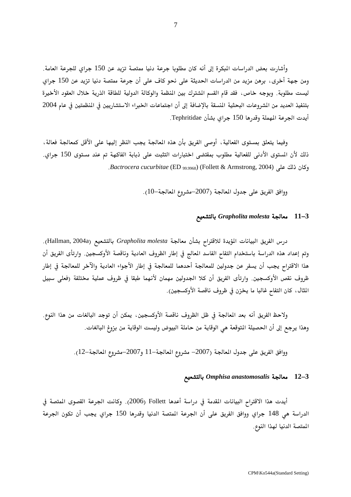وأشارت بعض الدراسات المبكرة إلى أنه كان مطلوبا جرعة دنيا ممتصة تزيد عن 150 جراى للجرعة العامة. ومن جهة أخرى، برهن مزيد من الدراسات الحديثة على نحو كاف على أن جرعة ممتصة دنيا تزيد عن 150 جراي ليست مطلوبة. وبوجه خاص، فقد قام القسم الشترك بين المنظمة والوكالة الدولية للطاقة الذرية خلال العقود الأخيرة بتنفيذ العديد من الشروعات البحثية المنسقة بالإضافة إلى أن اجتماعات الخبراء الاستشاريين في المنظمتين في عام 2004 أيدت الجرعة المهملة وقدرها 150 جراي بشأن Tephritidae.

وفيما يتعلق بمستوى الفعالية ، أوصى الفريق بأن هذه المعالجة يجب النظر إليها على الأقل كمعالجة فعالة ، ذلك لأن المستوى الأدنى للفعالية مطلوب بمقتضى اختبارات التثبت على ذبابة الفاكهة تم عند مستوى 150 جراي. Bactrocera cucurbitae (ED <sub>99.9968</sub>) (Follett & Armstrong, 2004).

ووافق الفريق على جدول المعالجة (2007–مشروع المعالجة–10).

### بالتشعيع Grapholita molesta أبالتشعيع Grapholita  $11-3$

درس الفريق البيانات المؤيدة للاقتراح بشأن معالجة Grapholita molesta بالتشعيع (Hallman, 2004a). وتم إعداد هذه الدراسة باستخدام التفاح الفاسد المعالج في إطار الظروف العادية وناقصة الأوكسجين. وارتأى الفريق أن هذا الاقتراح يجب أن يسفر عن جدولين للمعالجة أحدهما للمعالجة في إطار الأجواء العادية والآخر للمعالجة في إطار ظروف نقص الأوكسجين. وارتأى الفريق أن كلا الجدولين مهمان لأنهما طبقا في ظروف عملية مختلفة (فعلى سبيل الثال، كان التفاح غالبا ما يخزن في ظروف ناقصة الأوكسجين).

ولاحظ الفريق أنه بعد المعالجة في ظل الظروف ناقصة الأوكسجين، يمكن أن توجد البالغات من هذا النوع. وهذا يرجع إلى أن الحصيلة المتوقعة هي الوقاية من حاملة البيوض وليست الوقاية من بزوغ البالغات.

ووافق الفريق على جدول المعالجة (2007– مشروع المعالجة–11 و2007–مشروع المعالجة–12).

### بالتشعيع Omphisa anastomosalis بالتشعيع  $12-3$

أيدت هذا الاقتراح البيانات المقدمة في دراسة أعدها Follett (2006). وكانت الجرعة القصوى المتصة فى الدراسة هي 148 جراي ووافق الفريق على أن الجرعة المتصة الدنيا وقدرها 150 جراي يجب أن تكون الجرعة المتصة الدنيا لهذا النوع.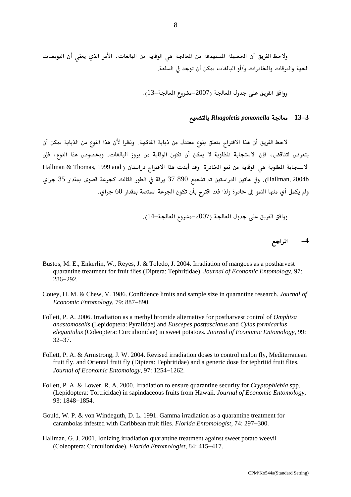ولاحظ الفريق أن الحصيلة المستهدفة من المعالجة هي الوقاية من البالغات، الأمر الذي يعني أن البويضات الحية واليرقات والخادرات و/أو البالغات يمكن أن توجد في السلعة.

## 4–13 معالجة Rhagoletis pomonella بالتشعيع

لاحظ الفريق أن هذا الاقتراح يتعلق بنوع معتدل من ذبابة الفاكهة. ونظرا لأن هذا النوع من الذبابة يمكن أن يتعرض لتناقض، فإن الاستجابة المطلوبة لا يمكن أن تكون الوقاية من بروز البالغات. وبخصوص هذا النوع، فإن الاستجابة المطلوبة هي الوقاية من نمو الخادرة. وقد أيدت هذا الاقتراح دراستان ( Hallman & Thomas, 1999 and Hallman, 2004b). وفي هاتين الدراستين تم تشعيع 890 37 يرقة في الطور الثالث كجرعة قصوى بمقدار 35 جراي ولم يكمل أي منها النمو إلى خادرة ولذا فقد اقترح بأن تكون الجرعة المتصة بمقدار 60 جراي.

ووافق الفريق على جدول المعالجة (2007–مشروع المعالجة–14).

المراجع  $-4$ 

- Bustos, M. E., Enkerlin, W., Reyes, J. & Toledo, J. 2004. Irradiation of mangoes as a postharvest quarantine treatment for fruit flies (Diptera: Tephritidae). Journal of Economic Entomology, 97: 286-292.
- Couey, H. M. & Chew, V. 1986. Confidence limits and sample size in quarantine research. Journal of Economic Entomology, 79: 887-890.
- Follett, P. A. 2006. Irradiation as a methyl bromide alternative for postharvest control of *Omphisa* anastomosalis (Lepidoptera: Pyralidae) and Euscepes postfasciatus and Cylas formicarius elegantulus (Coleoptera: Curculionidae) in sweet potatoes. Journal of Economic Entomology, 99:  $32 - 37$ .
- Follett, P. A. & Armstrong, J. W. 2004. Revised irradiation doses to control melon fly, Mediterranean fruit fly, and Oriental fruit fly (Diptera: Tephritidae) and a generic dose for tephritid fruit flies. Journal of Economic Entomology, 97: 1254-1262.
- Follett, P. A. & Lower, R. A. 2000. Irradiation to ensure quarantine security for Cryptophlebia spp. (Lepidoptera: Tortricidae) in sapindaceous fruits from Hawaii. Journal of Economic Entomology, 93: 1848-1854.
- Gould, W. P. & von Windeguth, D. L. 1991. Gamma irradiation as a quarantine treatment for carambolas infested with Caribbean fruit flies. *Florida Entomologist*, 74: 297–300.
- Hallman, G. J. 2001. Ionizing irradiation quarantine treatment against sweet potato weevil (Coleoptera: Curculionidae). Florida Entomologist, 84: 415-417.